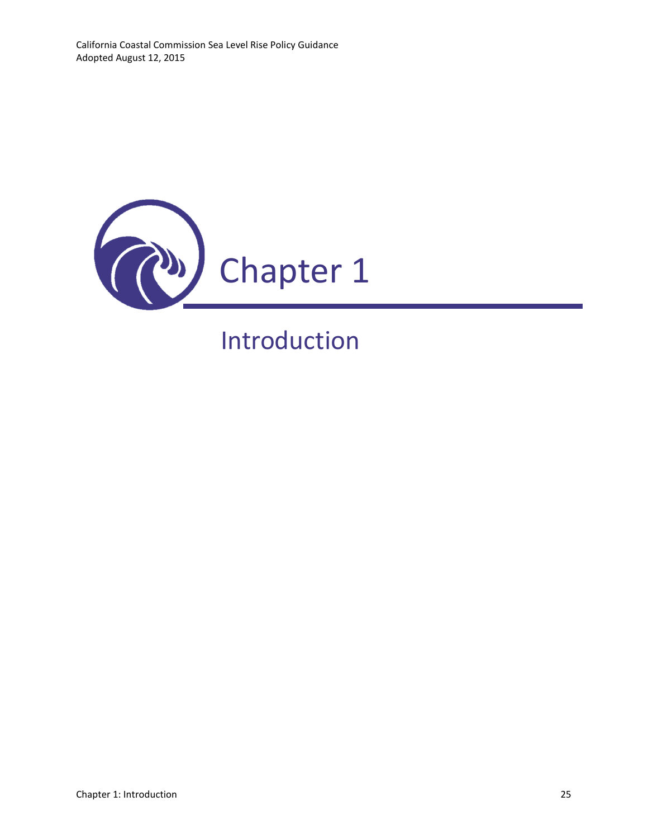

# Introduction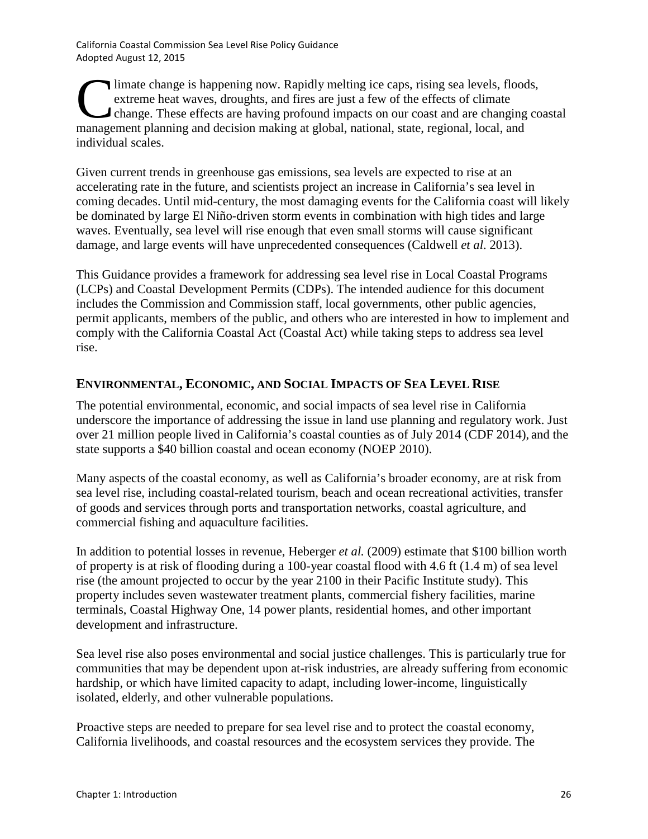limate change is happening now. Rapidly melting ice caps, rising sea levels, floods, extreme heat waves, droughts, and fires are just a few of the effects of climate change. These effects are having profound impacts on our coast and are changing coastal limate change is happening now. Rapidly melting ice caps, rising sea levels, flood extreme heat waves, droughts, and fires are just a few of the effects of climate changing management planning and decision making at global individual scales.

Given current trends in greenhouse gas emissions, sea levels are expected to rise at an accelerating rate in the future, and scientists project an increase in California's sea level in coming decades. Until mid-century, the most damaging events for the California coast will likely be dominated by large El Niño-driven storm events in combination with high tides and large waves. Eventually, sea level will rise enough that even small storms will cause significant damage, and large events will have unprecedented consequences (Caldwell *et al*. 2013).

This Guidance provides a framework for addressing sea level rise in Local Coastal Programs (LCPs) and Coastal Development Permits (CDPs). The intended audience for this document includes the Commission and Commission staff, local governments, other public agencies, permit applicants, members of the public, and others who are interested in how to implement and comply with the California Coastal Act (Coastal Act) while taking steps to address sea level rise.

# **ENVIRONMENTAL, ECONOMIC, AND SOCIAL IMPACTS OF SEA LEVEL RISE**

The potential environmental, economic, and social impacts of sea level rise in California underscore the importance of addressing the issue in land use planning and regulatory work. Just over 21 million people lived in California's coastal counties as of July 2014 (CDF 2014), and the state supports a \$40 billion coastal and ocean economy (NOEP 2010).

Many aspects of the coastal economy, as well as California's broader economy, are at risk from sea level rise, including coastal-related tourism, beach and ocean recreational activities, transfer of goods and services through ports and transportation networks, coastal agriculture, and commercial fishing and aquaculture facilities.

In addition to potential losses in revenue, Heberger *et al.* (2009) estimate that \$100 billion worth of property is at risk of flooding during a 100-year coastal flood with 4.6 ft (1.4 m) of sea level rise (the amount projected to occur by the year 2100 in their Pacific Institute study). This property includes seven wastewater treatment plants, commercial fishery facilities, marine terminals, Coastal Highway One, 14 power plants, residential homes, and other important development and infrastructure.

Sea level rise also poses environmental and social justice challenges. This is particularly true for communities that may be dependent upon at-risk industries, are already suffering from economic hardship, or which have limited capacity to adapt, including lower-income, linguistically isolated, elderly, and other vulnerable populations.

Proactive steps are needed to prepare for sea level rise and to protect the coastal economy, California livelihoods, and coastal resources and the ecosystem services they provide. The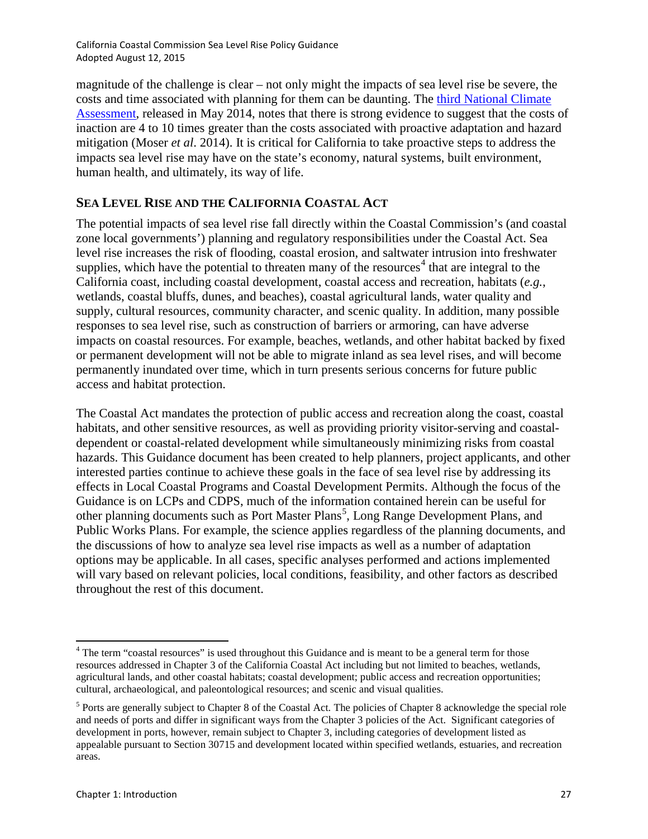magnitude of the challenge is clear – not only might the impacts of sea level rise be severe, the costs and time associated with planning for them can be daunting. The third National Climate [Assessment,](http://s3.amazonaws.com/nca2014/low/NCA3_Climate_Change_Impacts_in_the_United%20States_LowRes.pdf?download=1) released in May 2014, notes that there is strong evidence to suggest that the costs of inaction are 4 to 10 times greater than the costs associated with proactive adaptation and hazard mitigation (Moser *et al*. 2014). It is critical for California to take proactive steps to address the impacts sea level rise may have on the state's economy, natural systems, built environment, human health, and ultimately, its way of life.

#### **SEA LEVEL RISE AND THE CALIFORNIA COASTAL ACT**

The potential impacts of sea level rise fall directly within the Coastal Commission's (and coastal zone local governments') planning and regulatory responsibilities under the Coastal Act. Sea level rise increases the risk of flooding, coastal erosion, and saltwater intrusion into freshwater supplies, which have the potential to threaten many of the resources<sup>[4](#page-2-0)</sup> that are integral to the California coast, including coastal development, coastal access and recreation, habitats (*e.g.*, wetlands, coastal bluffs, dunes, and beaches), coastal agricultural lands, water quality and supply, cultural resources, community character, and scenic quality. In addition, many possible responses to sea level rise, such as construction of barriers or armoring, can have adverse impacts on coastal resources. For example, beaches, wetlands, and other habitat backed by fixed or permanent development will not be able to migrate inland as sea level rises, and will become permanently inundated over time, which in turn presents serious concerns for future public access and habitat protection.

The Coastal Act mandates the protection of public access and recreation along the coast, coastal habitats, and other sensitive resources, as well as providing priority visitor-serving and coastaldependent or coastal-related development while simultaneously minimizing risks from coastal hazards. This Guidance document has been created to help planners, project applicants, and other interested parties continue to achieve these goals in the face of sea level rise by addressing its effects in Local Coastal Programs and Coastal Development Permits. Although the focus of the Guidance is on LCPs and CDPS, much of the information contained herein can be useful for other planning documents such as Port Master Plans<sup>[5](#page-2-1)</sup>, Long Range Development Plans, and Public Works Plans. For example, the science applies regardless of the planning documents, and the discussions of how to analyze sea level rise impacts as well as a number of adaptation options may be applicable. In all cases, specific analyses performed and actions implemented will vary based on relevant policies, local conditions, feasibility, and other factors as described throughout the rest of this document.

<span id="page-2-0"></span><sup>&</sup>lt;sup>4</sup> The term "coastal resources" is used throughout this Guidance and is meant to be a general term for those resources addressed in Chapter 3 of the California Coastal Act including but not limited to beaches, wetlands, agricultural lands, and other coastal habitats; coastal development; public access and recreation opportunities; cultural, archaeological, and paleontological resources; and scenic and visual qualities.

<span id="page-2-1"></span><sup>5</sup> Ports are generally subject to Chapter 8 of the Coastal Act. The policies of Chapter 8 acknowledge the special role and needs of ports and differ in significant ways from the Chapter 3 policies of the Act. Significant categories of development in ports, however, remain subject to Chapter 3, including categories of development listed as appealable pursuant to Section 30715 and development located within specified wetlands, estuaries, and recreation areas.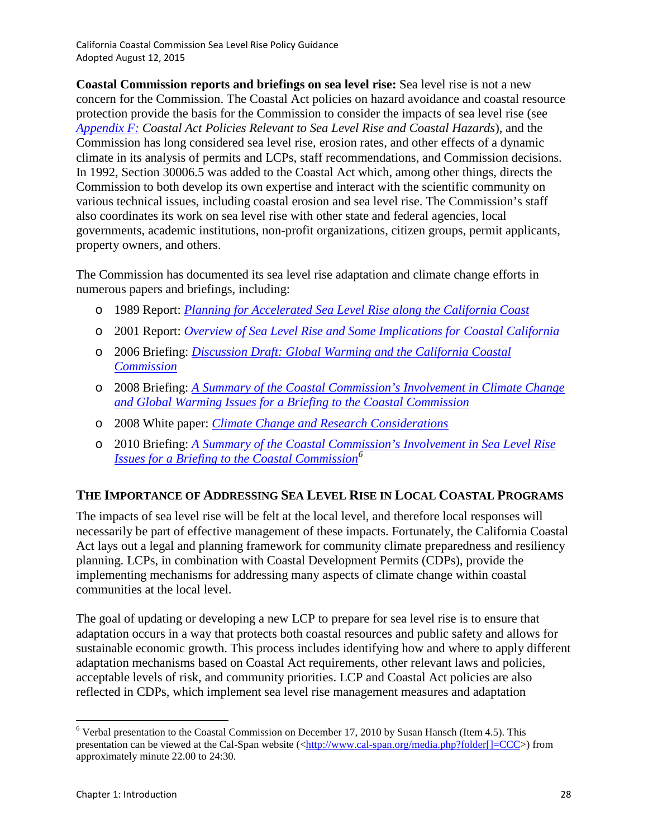**Coastal Commission reports and briefings on sea level rise:** Sea level rise is not a new concern for the Commission. The Coastal Act policies on hazard avoidance and coastal resource protection provide the basis for the Commission to consider the impacts of sea level rise (see *Appendix F: Coastal Act Policies Relevant to Sea Level Rise and Coastal Hazards*), and the Commission has long considered sea level rise, erosion rates, and other effects of a dynamic climate in its analysis of permits and LCPs, staff recommendations, and Commission decisions. In 1992, Section 30006.5 was added to the Coastal Act which, among other things, directs the Commission to both develop its own expertise and interact with the scientific community on various technical issues, including coastal erosion and sea level rise. The Commission's staff also coordinates its work on sea level rise with other state and federal agencies, local governments, academic institutions, non-profit organizations, citizen groups, permit applicants, property owners, and others.

The Commission has documented its sea level rise adaptation and climate change efforts in numerous papers and briefings, including:

- o 1989 Report: *Planning for Accelerated Sea [Level Rise along the California Coast](http://www.coastal.ca.gov/climate/PlanningAccelSLR.pdf)*
- o 2001 Report: *[Overview of Sea Level Rise and Some Implications for Coastal California](http://www.coastal.ca.gov/climate/SeaLevelRise2001.pdf)*
- o 2006 Briefing: *[Discussion Draft: Global Warming and the California Coastal](http://documents.coastal.ca.gov/reports/2006/12/Th3-12-2006.pdf)  [Commission](http://documents.coastal.ca.gov/reports/2006/12/Th3-12-2006.pdf)*
- o 2008 Briefing: *[A Summary of the Coastal Commission's Involvement in Climate Change](http://documents.coastal.ca.gov/reports/2008/12/F3.5-12-2008.pdf)  [and Global Warming Issues for a Briefing to the Coastal Commission](http://documents.coastal.ca.gov/reports/2008/12/F3.5-12-2008.pdf)*
- o 2008 White paper: *[Climate Change and Research Considerations](http://www.coastal.ca.gov/climate/ccc_whitepaper.pdf)*
- o 2010 Briefing: *[A Summary of the Coastal Commission's Involvement in Sea Level Rise](http://www.cal-span.org/media.php?folder%5b%5d=CCC)  [Issues for a Briefing to the Coastal Commission](http://www.cal-span.org/media.php?folder%5b%5d=CCC)[6](#page-3-0)*

#### **THE IMPORTANCE OF ADDRESSING SEA LEVEL RISE IN LOCAL COASTAL PROGRAMS**

The impacts of sea level rise will be felt at the local level, and therefore local responses will necessarily be part of effective management of these impacts. Fortunately, the California Coastal Act lays out a legal and planning framework for community climate preparedness and resiliency planning. LCPs, in combination with Coastal Development Permits (CDPs), provide the implementing mechanisms for addressing many aspects of climate change within coastal communities at the local level.

The goal of updating or developing a new LCP to prepare for sea level rise is to ensure that adaptation occurs in a way that protects both coastal resources and public safety and allows for sustainable economic growth. This process includes identifying how and where to apply different adaptation mechanisms based on Coastal Act requirements, other relevant laws and policies, acceptable levels of risk, and community priorities. LCP and Coastal Act policies are also reflected in CDPs, which implement sea level rise management measures and adaptation

<span id="page-3-0"></span> $6$  Verbal presentation to the Coastal Commission on December 17, 2010 by Susan Hansch (Item 4.5). This presentation can be viewed at the Cal-Span website  $\langle \frac{\text{http://www.cal-span.org/media.php?folder}}{\text{open.com}}$  [=CCC>) from approximately minute 22.00 to 24:30.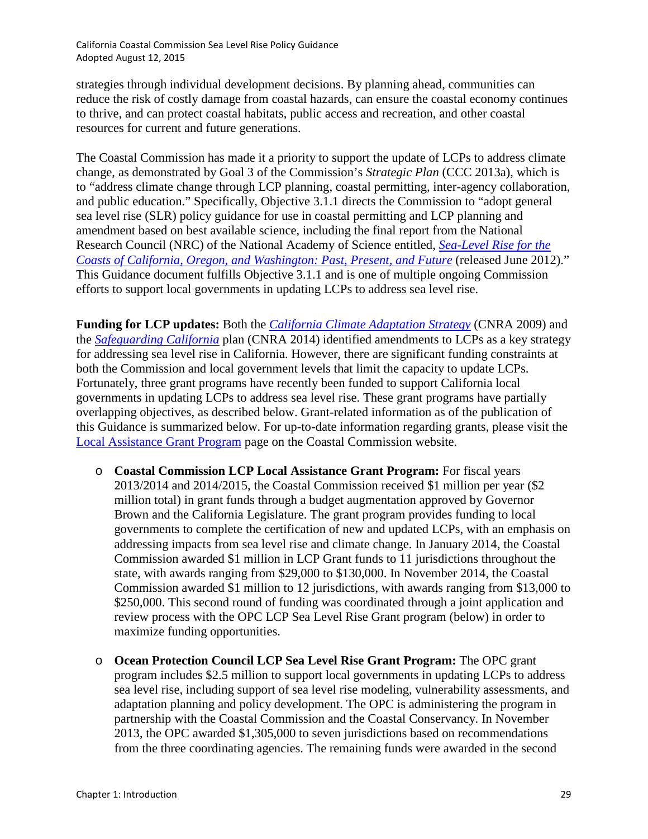strategies through individual development decisions. By planning ahead, communities can reduce the risk of costly damage from coastal hazards, can ensure the coastal economy continues to thrive, and can protect coastal habitats, public access and recreation, and other coastal resources for current and future generations.

The Coastal Commission has made it a priority to support the update of LCPs to address climate change, as demonstrated by Goal 3 of the Commission's *Strategic Plan* (CCC 2013a), which is to "address climate change through LCP planning, coastal permitting, inter-agency collaboration, and public education." Specifically, Objective 3.1.1 directs the Commission to "adopt general sea level rise (SLR) policy guidance for use in coastal permitting and LCP planning and amendment based on best available science, including the final report from the National Research Council (NRC) of the National Academy of Science entitled, *[Sea-Level Rise for the](http://www.nap.edu/catalog/13389/sea-level-rise-for-the-coasts-of-california-oregon-and-washington)  [Coasts of California, Oregon, and Washington: Past, Present,](http://www.nap.edu/catalog/13389/sea-level-rise-for-the-coasts-of-california-oregon-and-washington) and Future* (released June 2012)." This Guidance document fulfills Objective 3.1.1 and is one of multiple ongoing Commission efforts to support local governments in updating LCPs to address sea level rise.

**Funding for LCP updates:** Both the *[California Climate Adaptation Strategy](http://resources.ca.gov/docs/climate/Statewide_Adaptation_Strategy.pdf)* (CNRA 2009) and the *[Safeguarding California](http://resources.ca.gov/docs/climate/Final_Safeguarding_CA_Plan_July_31_2014.pdf)* plan (CNRA 2014) identified amendments to LCPs as a key strategy for addressing sea level rise in California. However, there are significant funding constraints at both the Commission and local government levels that limit the capacity to update LCPs. Fortunately, three grant programs have recently been funded to support California local governments in updating LCPs to address sea level rise. These grant programs have partially overlapping objectives, as described below. Grant-related information as of the publication of this Guidance is summarized below. For up-to-date information regarding grants, please visit the [Local Assistance Grant Program](http://www.coastal.ca.gov/lcp/lcpgrantprogram.html) page on the Coastal Commission website.

- o **Coastal Commission LCP Local Assistance Grant Program:** For fiscal years 2013/2014 and 2014/2015, the Coastal Commission received \$1 million per year (\$2 million total) in grant funds through a budget augmentation approved by Governor Brown and the California Legislature. The grant program provides funding to local governments to complete the certification of new and updated LCPs, with an emphasis on addressing impacts from sea level rise and climate change. In January 2014, the Coastal Commission awarded \$1 million in LCP Grant funds to 11 jurisdictions throughout the state, with awards ranging from \$29,000 to \$130,000. In November 2014, the Coastal Commission awarded \$1 million to 12 jurisdictions, with awards ranging from \$13,000 to \$250,000. This second round of funding was coordinated through a joint application and review process with the OPC LCP Sea Level Rise Grant program (below) in order to maximize funding opportunities.
- o **Ocean Protection Council LCP Sea Level Rise Grant Program:** The OPC grant program includes \$2.5 million to support local governments in updating LCPs to address sea level rise, including support of sea level rise modeling, vulnerability assessments, and adaptation planning and policy development. The OPC is administering the program in partnership with the Coastal Commission and the Coastal Conservancy. In November 2013, the OPC awarded \$1,305,000 to seven jurisdictions based on recommendations from the three coordinating agencies. The remaining funds were awarded in the second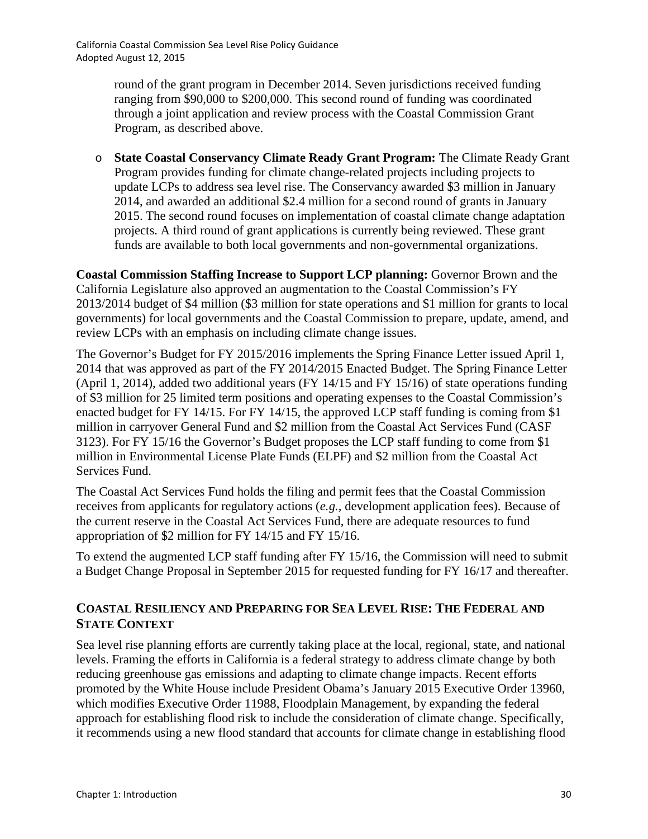> round of the grant program in December 2014. Seven jurisdictions received funding ranging from \$90,000 to \$200,000. This second round of funding was coordinated through a joint application and review process with the Coastal Commission Grant Program, as described above.

o **State Coastal Conservancy Climate Ready Grant Program:** The Climate Ready Grant Program provides funding for climate change-related projects including projects to update LCPs to address sea level rise. The Conservancy awarded \$3 million in January 2014, and awarded an additional \$2.4 million for a second round of grants in January 2015. The second round focuses on implementation of coastal climate change adaptation projects. A third round of grant applications is currently being reviewed. These grant funds are available to both local governments and non-governmental organizations.

**Coastal Commission Staffing Increase to Support LCP planning:** Governor Brown and the California Legislature also approved an augmentation to the Coastal Commission's FY 2013/2014 budget of \$4 million (\$3 million for state operations and \$1 million for grants to local governments) for local governments and the Coastal Commission to prepare, update, amend, and review LCPs with an emphasis on including climate change issues.

The Governor's Budget for FY 2015/2016 implements the Spring Finance Letter issued April 1, 2014 that was approved as part of the FY 2014/2015 Enacted Budget. The Spring Finance Letter (April 1, 2014), added two additional years (FY 14/15 and FY 15/16) of state operations funding of \$3 million for 25 limited term positions and operating expenses to the Coastal Commission's enacted budget for FY 14/15. For FY 14/15, the approved LCP staff funding is coming from \$1 million in carryover General Fund and \$2 million from the Coastal Act Services Fund (CASF 3123). For FY 15/16 the Governor's Budget proposes the LCP staff funding to come from \$1 million in Environmental License Plate Funds (ELPF) and \$2 million from the Coastal Act Services Fund.

The Coastal Act Services Fund holds the filing and permit fees that the Coastal Commission receives from applicants for regulatory actions (*e.g.,* development application fees). Because of the current reserve in the Coastal Act Services Fund, there are adequate resources to fund appropriation of \$2 million for FY 14/15 and FY 15/16.

To extend the augmented LCP staff funding after FY 15/16, the Commission will need to submit a Budget Change Proposal in September 2015 for requested funding for FY 16/17 and thereafter.

## **COASTAL RESILIENCY AND PREPARING FOR SEA LEVEL RISE: THE FEDERAL AND STATE CONTEXT**

Sea level rise planning efforts are currently taking place at the local, regional, state, and national levels. Framing the efforts in California is a federal strategy to address climate change by both reducing greenhouse gas emissions and adapting to climate change impacts. Recent efforts promoted by the White House include President Obama's January 2015 Executive Order 13960, which modifies Executive Order 11988, Floodplain Management, by expanding the federal approach for establishing flood risk to include the consideration of climate change. Specifically, it recommends using a new flood standard that accounts for climate change in establishing flood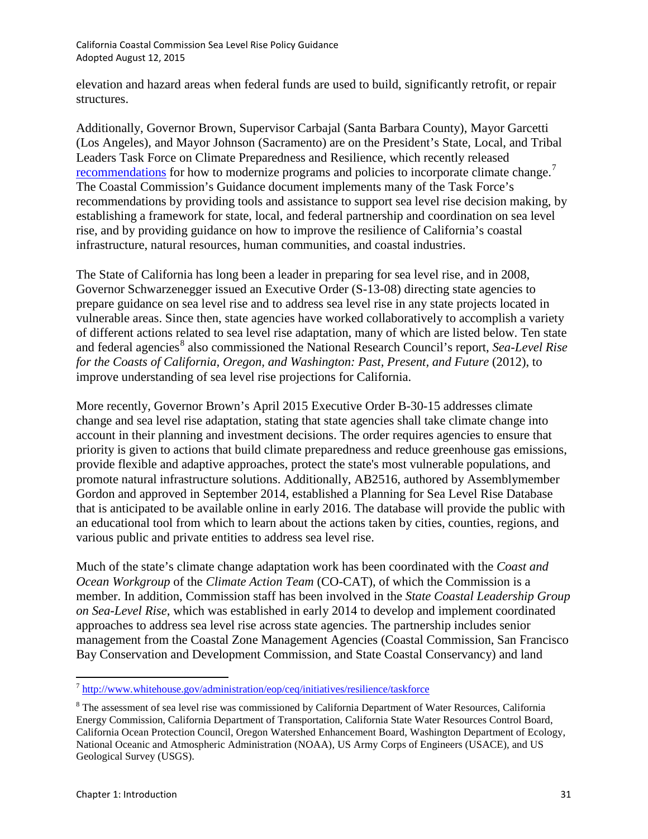elevation and hazard areas when federal funds are used to build, significantly retrofit, or repair structures.

Additionally, Governor Brown, Supervisor Carbajal (Santa Barbara County), Mayor Garcetti (Los Angeles), and Mayor Johnson (Sacramento) are on the President's State, Local, and Tribal Leaders Task Force on Climate Preparedness and Resilience, which recently released [recommendations](http://www.whitehouse.gov/sites/default/files/docs/task_force_report_0.pdf) for how to modernize programs and policies to incorporate climate change.<sup>[7](#page-6-0)</sup> The Coastal Commission's Guidance document implements many of the Task Force's recommendations by providing tools and assistance to support sea level rise decision making, by establishing a framework for state, local, and federal partnership and coordination on sea level rise, and by providing guidance on how to improve the resilience of California's coastal infrastructure, natural resources, human communities, and coastal industries.

The State of California has long been a leader in preparing for sea level rise, and in 2008, Governor Schwarzenegger issued an Executive Order (S-13-08) directing state agencies to prepare guidance on sea level rise and to address sea level rise in any state projects located in vulnerable areas. Since then, state agencies have worked collaboratively to accomplish a variety of different actions related to sea level rise adaptation, many of which are listed below. Ten state and federal agencies<sup>[8](#page-6-1)</sup> also commissioned the National Research Council's report, *Sea-Level Rise for the Coasts of California, Oregon, and Washington: Past, Present, and Future* (2012), to improve understanding of sea level rise projections for California.

More recently, Governor Brown's April 2015 Executive Order B-30-15 addresses climate change and sea level rise adaptation, stating that state agencies shall take climate change into account in their planning and investment decisions. The order requires agencies to ensure that priority is given to actions that build climate preparedness and reduce greenhouse gas emissions, provide flexible and adaptive approaches, protect the state's most vulnerable populations, and promote natural infrastructure solutions. Additionally, AB2516, authored by Assemblymember Gordon and approved in September 2014, established a Planning for Sea Level Rise Database that is anticipated to be available online in early 2016. The database will provide the public with an educational tool from which to learn about the actions taken by cities, counties, regions, and various public and private entities to address sea level rise.

Much of the state's climate change adaptation work has been coordinated with the *Coast and Ocean Workgroup* of the *Climate Action Team* (CO-CAT), of which the Commission is a member. In addition, Commission staff has been involved in the *State Coastal Leadership Group on Sea-Level Rise*, which was established in early 2014 to develop and implement coordinated approaches to address sea level rise across state agencies. The partnership includes senior management from the Coastal Zone Management Agencies (Coastal Commission, San Francisco Bay Conservation and Development Commission, and State Coastal Conservancy) and land

<span id="page-6-0"></span><sup>7</sup> <http://www.whitehouse.gov/administration/eop/ceq/initiatives/resilience/taskforce>

<span id="page-6-1"></span><sup>&</sup>lt;sup>8</sup> The assessment of sea level rise was commissioned by California Department of Water Resources, California Energy Commission, California Department of Transportation, California State Water Resources Control Board, California Ocean Protection Council, Oregon Watershed Enhancement Board, Washington Department of Ecology, National Oceanic and Atmospheric Administration (NOAA), US Army Corps of Engineers (USACE), and US Geological Survey (USGS).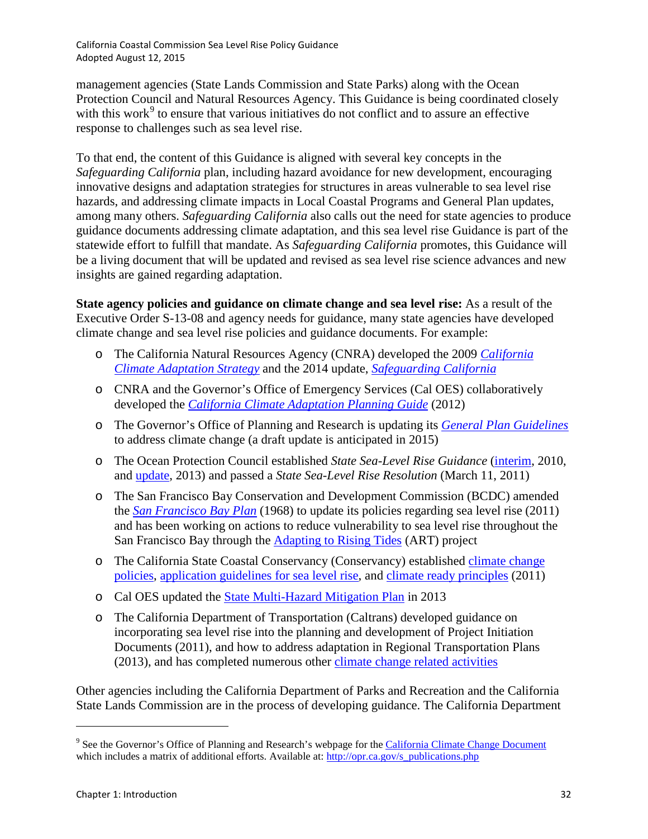management agencies (State Lands Commission and State Parks) along with the Ocean Protection Council and Natural Resources Agency. This Guidance is being coordinated closely with this work $9$  to ensure that various initiatives do not conflict and to assure an effective response to challenges such as sea level rise.

To that end, the content of this Guidance is aligned with several key concepts in the *Safeguarding California* plan, including hazard avoidance for new development, encouraging innovative designs and adaptation strategies for structures in areas vulnerable to sea level rise hazards, and addressing climate impacts in Local Coastal Programs and General Plan updates, among many others. *Safeguarding California* also calls out the need for state agencies to produce guidance documents addressing climate adaptation, and this sea level rise Guidance is part of the statewide effort to fulfill that mandate. As *Safeguarding California* promotes, this Guidance will be a living document that will be updated and revised as sea level rise science advances and new insights are gained regarding adaptation.

**State agency policies and guidance on climate change and sea level rise:** As a result of the Executive Order S-13-08 and agency needs for guidance, many state agencies have developed climate change and sea level rise policies and guidance documents. For example:

- o The California Natural Resources Agency (CNRA) developed the 2009 *[California](http://resources.ca.gov/docs/climate/Statewide_Adaptation_Strategy.pdf)  [Climate Adaptation Strategy](http://resources.ca.gov/docs/climate/Statewide_Adaptation_Strategy.pdf)* and the 2014 update, *[Safeguarding](http://resources.ca.gov/docs/climate/Final_Safeguarding_CA_Plan_July_31_2014.pdf) California*
- o CNRA and the Governor's Office of Emergency Services (Cal OES) collaboratively developed the *[California Climate Adaptation Planning Guide](http://resources.ca.gov/climate/safeguarding/adaptation_policy_guide/)* (2012)
- o The Governor's Office of Planning and Research is updating its *[General Plan Guidelines](http://opr.ca.gov/s_generalplanguidelines.php)* to address climate change (a draft update is anticipated in 2015)
- o The Ocean Protection Council established *State Sea-Level Rise Guidance* [\(interim,](http://opc.ca.gov/webmaster/ftp/pdf/agenda_items/20110311/12.SLR_Resolution/SLR-Guidance-Document.pdf) 2010, and [update,](http://www.opc.ca.gov/webmaster/ftp/pdf/docs/2013_SLR_Guidance_Update_FINAL1.pdf) 2013) and passed a *State Sea-Level Rise Resolution* (March 11, 2011)
- o The San Francisco Bay Conservation and Development Commission (BCDC) amended the *[San Francisco Bay Plan](http://www.bcdc.ca.gov/laws_plans/plans/sfbay_plan.shtml)* (1968) to update its policies regarding sea level rise (2011) and has been working on actions to reduce vulnerability to sea level rise throughout the San Francisco Bay through the [Adapting to Rising Tides](http://www.adaptingtorisingtides.org/) (ART) project
- o The California State Coastal Conservancy (Conservancy) established [climate change](http://scc.ca.gov/2009/01/21/coastal-conservancy-climate-change-policy-and-project-selection-criteria/#more-100)  [policies, application guidelines for sea level rise,](http://scc.ca.gov/2009/01/21/coastal-conservancy-climate-change-policy-and-project-selection-criteria/#more-100) and [climate ready principles](http://scc.ca.gov/category/climate-change/) (2011)
- o Cal OES updated the [State Multi-Hazard Mitigation Plan](http://hazardmitigation.calema.ca.gov/plan/state_multi-hazard_mitigation_plan_shmp) in 2013
- o The California Department of Transportation (Caltrans) developed guidance on incorporating sea level rise into the planning and development of Project Initiation Documents (2011), and how to address adaptation in Regional Transportation Plans (2013), and has completed numerous other [climate change related activities](http://www.dot.ca.gov/hq/tpp/offices/orip/climate_change/projects_and_studies.shtml)

Other agencies including the California Department of Parks and Recreation and the California State Lands Commission are in the process of developing guidance. The California Department

l

<span id="page-7-0"></span><sup>&</sup>lt;sup>9</sup> See the Governor's Office of Planning and Research's webpage for th[e California Climate Change Document](http://www.opr.ca.gov/docs/Climate_Change_Document_Updates_1-21-2014.pdf) which includes a matrix of additional efforts. Available at[: http://opr.ca.gov/s\\_publications.php](http://opr.ca.gov/s_publications.php)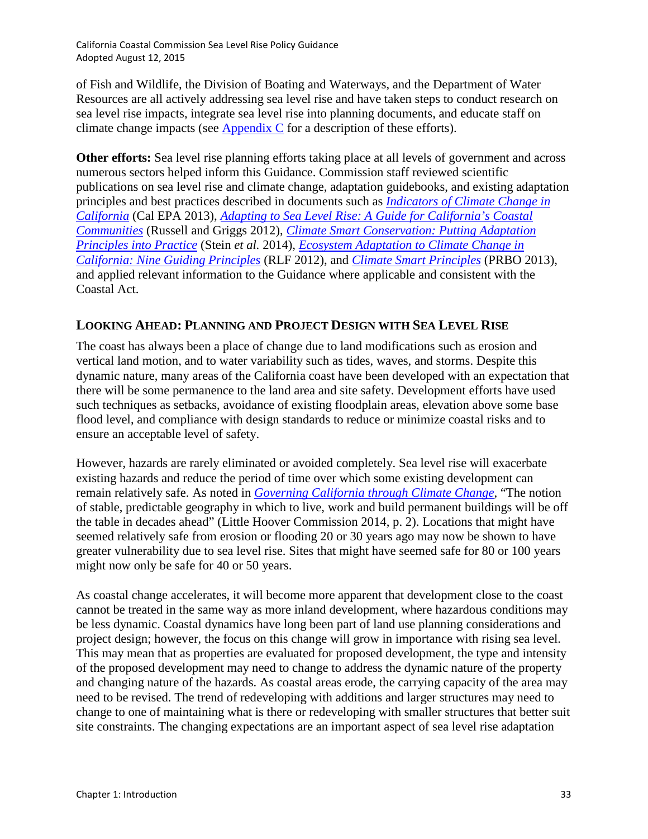of Fish and Wildlife, the Division of Boating and Waterways, and the Department of Water Resources are all actively addressing sea level rise and have taken steps to conduct research on sea level rise impacts, integrate sea level rise into planning documents, and educate staff on climate change impacts (see Appendix C for a description of these efforts).

**Other efforts:** Sea level rise planning efforts taking place at all levels of government and across numerous sectors helped inform this Guidance. Commission staff reviewed scientific publications on sea level rise and climate change, adaptation guidebooks, and existing adaptation principles and best practices described in documents such as *[Indicators of Climate Change in](http://oehha.ca.gov/multimedia/epic/pdf/ClimateChangeIndicatorsReport2013.pdf)  [California](http://oehha.ca.gov/multimedia/epic/pdf/ClimateChangeIndicatorsReport2013.pdf)* (Cal EPA 2013), *[Adapting to Sea Level Rise: A Guide for California's Coastal](http://seymourcenter.ucsc.edu/OOB/Adapting%20to%20Sea%20Level%20Rise.pdf)  [Communities](http://seymourcenter.ucsc.edu/OOB/Adapting%20to%20Sea%20Level%20Rise.pdf)* (Russell and Griggs 2012), *[Climate Smart Conservation: Putting Adaptation](http://www.nwf.org/pdf/Climate-Smart-Conservation/NWF-Climate-Smart-Conservation_5-08-14.pdf)  [Principles into Practice](http://www.nwf.org/pdf/Climate-Smart-Conservation/NWF-Climate-Smart-Conservation_5-08-14.pdf)* (Stein *et al.* 2014), *[Ecosystem Adaptation to Climate Change in](http://tbc3.org/wp-content/uploads/CA-Guiding-Principles-RLF-2012.pdf)  [California: Nine Guiding Principles](http://tbc3.org/wp-content/uploads/CA-Guiding-Principles-RLF-2012.pdf)* (RLF 2012), and *[Climate Smart Principles](http://www.prbo.org/cms/docs/climatechange/PRBO_StrategyBrief_ClimateSmartConservation_Dec%202012.pdf)* (PRBO 2013), and applied relevant information to the Guidance where applicable and consistent with the Coastal Act.

## **LOOKING AHEAD: PLANNING AND PROJECT DESIGN WITH SEA LEVEL RISE**

The coast has always been a place of change due to land modifications such as erosion and vertical land motion, and to water variability such as tides, waves, and storms. Despite this dynamic nature, many areas of the California coast have been developed with an expectation that there will be some permanence to the land area and site safety. Development efforts have used such techniques as setbacks, avoidance of existing floodplain areas, elevation above some base flood level, and compliance with design standards to reduce or minimize coastal risks and to ensure an acceptable level of safety.

However, hazards are rarely eliminated or avoided completely. Sea level rise will exacerbate existing hazards and reduce the period of time over which some existing development can remain relatively safe. As noted in *[Governing California through Climate Change,](http://www.lhc.ca.gov/studies/221/report221.html)* "The notion of stable, predictable geography in which to live, work and build permanent buildings will be off the table in decades ahead" (Little Hoover Commission 2014, p. 2). Locations that might have seemed relatively safe from erosion or flooding 20 or 30 years ago may now be shown to have greater vulnerability due to sea level rise. Sites that might have seemed safe for 80 or 100 years might now only be safe for 40 or 50 years.

As coastal change accelerates, it will become more apparent that development close to the coast cannot be treated in the same way as more inland development, where hazardous conditions may be less dynamic. Coastal dynamics have long been part of land use planning considerations and project design; however, the focus on this change will grow in importance with rising sea level. This may mean that as properties are evaluated for proposed development, the type and intensity of the proposed development may need to change to address the dynamic nature of the property and changing nature of the hazards. As coastal areas erode, the carrying capacity of the area may need to be revised. The trend of redeveloping with additions and larger structures may need to change to one of maintaining what is there or redeveloping with smaller structures that better suit site constraints. The changing expectations are an important aspect of sea level rise adaptation